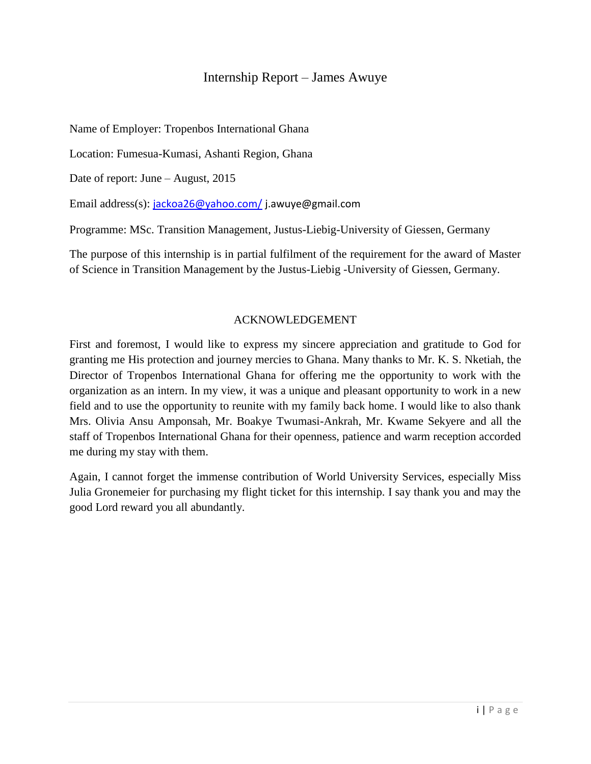## Internship Report – James Awuye

Name of Employer: Tropenbos International Ghana

Location: Fumesua-Kumasi, Ashanti Region, Ghana

Date of report: June – August, 2015

Email address(s): [jackoa26@yahoo.com/](mailto:jackoa26@yahoo.com/) [j.awuye@gmail.com](mailto:j.awuye@gmail.com)

Programme: MSc. Transition Management, Justus-Liebig-University of Giessen, Germany

The purpose of this internship is in partial fulfilment of the requirement for the award of Master of Science in Transition Management by the Justus-Liebig -University of Giessen, Germany.

#### ACKNOWLEDGEMENT

First and foremost, I would like to express my sincere appreciation and gratitude to God for granting me His protection and journey mercies to Ghana. Many thanks to Mr. K. S. Nketiah, the Director of Tropenbos International Ghana for offering me the opportunity to work with the organization as an intern. In my view, it was a unique and pleasant opportunity to work in a new field and to use the opportunity to reunite with my family back home. I would like to also thank Mrs. Olivia Ansu Amponsah, Mr. Boakye Twumasi-Ankrah, Mr. Kwame Sekyere and all the staff of Tropenbos International Ghana for their openness, patience and warm reception accorded me during my stay with them.

Again, I cannot forget the immense contribution of World University Services, especially Miss Julia Gronemeier for purchasing my flight ticket for this internship. I say thank you and may the good Lord reward you all abundantly.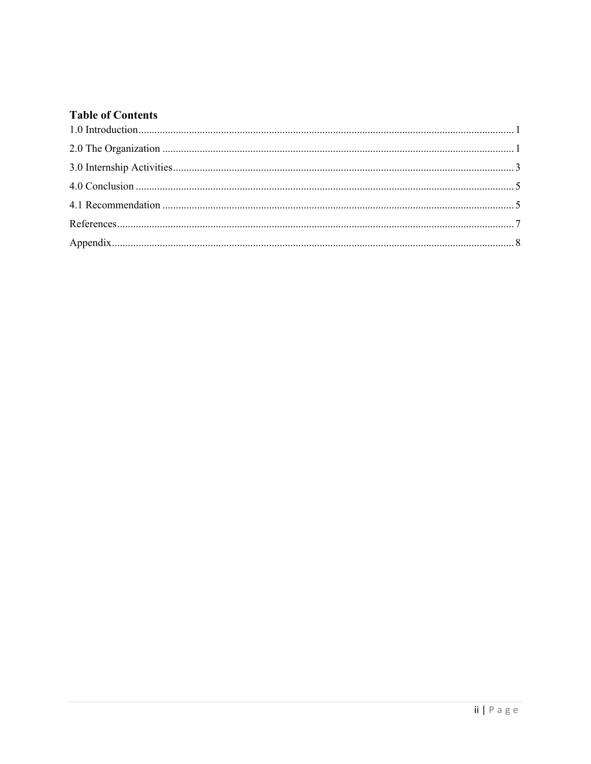# **Table of Contents**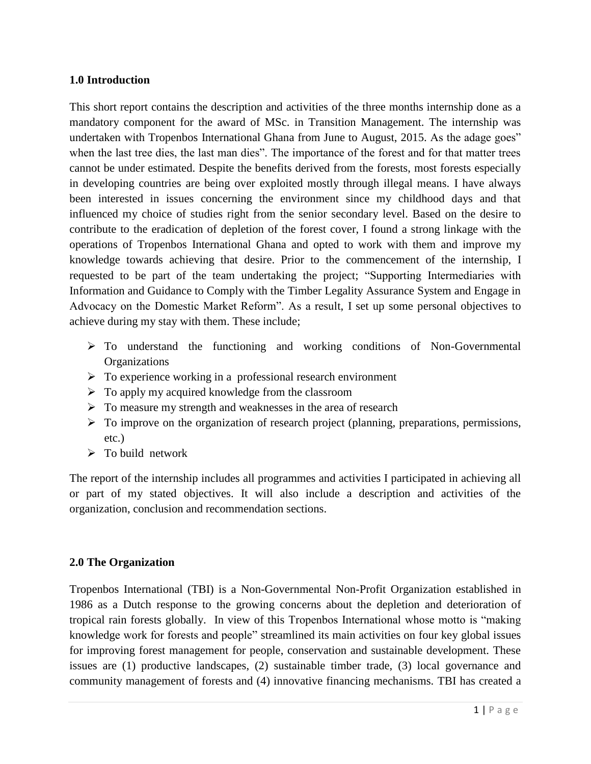### <span id="page-2-0"></span>**1.0 Introduction**

This short report contains the description and activities of the three months internship done as a mandatory component for the award of MSc. in Transition Management. The internship was undertaken with Tropenbos International Ghana from June to August, 2015. As the adage goes" when the last tree dies, the last man dies". The importance of the forest and for that matter trees cannot be under estimated. Despite the benefits derived from the forests, most forests especially in developing countries are being over exploited mostly through illegal means. I have always been interested in issues concerning the environment since my childhood days and that influenced my choice of studies right from the senior secondary level. Based on the desire to contribute to the eradication of depletion of the forest cover, I found a strong linkage with the operations of Tropenbos International Ghana and opted to work with them and improve my knowledge towards achieving that desire. Prior to the commencement of the internship, I requested to be part of the team undertaking the project; "Supporting Intermediaries with Information and Guidance to Comply with the Timber Legality Assurance System and Engage in Advocacy on the Domestic Market Reform". As a result, I set up some personal objectives to achieve during my stay with them. These include;

- To understand the functioning and working conditions of Non-Governmental **Organizations**
- $\triangleright$  To experience working in a professional research environment
- $\triangleright$  To apply my acquired knowledge from the classroom
- $\triangleright$  To measure my strength and weaknesses in the area of research
- $\triangleright$  To improve on the organization of research project (planning, preparations, permissions, etc.)
- $\triangleright$  To build network

The report of the internship includes all programmes and activities I participated in achieving all or part of my stated objectives. It will also include a description and activities of the organization, conclusion and recommendation sections.

### <span id="page-2-1"></span>**2.0 The Organization**

Tropenbos International (TBI) is a Non-Governmental Non-Profit Organization established in 1986 as a Dutch response to the growing concerns about the depletion and deterioration of tropical rain forests globally. In view of this Tropenbos International whose motto is "making knowledge work for forests and people" streamlined its main activities on four key global issues for improving forest management for people, conservation and sustainable development. These issues are (1) productive landscapes, (2) sustainable timber trade, (3) local governance and community management of forests and (4) innovative financing mechanisms. TBI has created a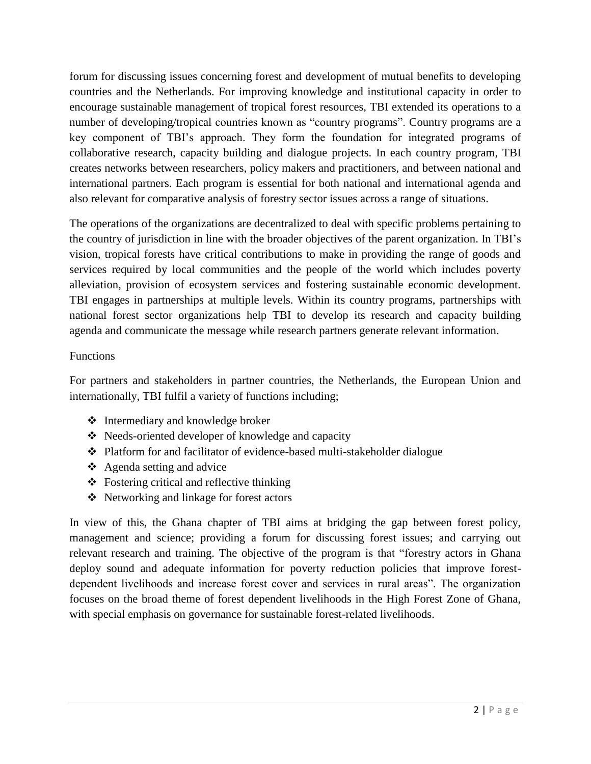forum for discussing issues concerning forest and development of mutual benefits to developing countries and the Netherlands. For improving knowledge and institutional capacity in order to encourage sustainable management of tropical forest resources, TBI extended its operations to a number of developing/tropical countries known as "country programs". Country programs are a key component of TBI's approach. They form the foundation for integrated programs of collaborative research, capacity building and dialogue projects. In each country program, TBI creates networks between researchers, policy makers and practitioners, and between national and international partners. Each program is essential for both national and international agenda and also relevant for comparative analysis of forestry sector issues across a range of situations.

The operations of the organizations are decentralized to deal with specific problems pertaining to the country of jurisdiction in line with the broader objectives of the parent organization. In TBI's vision, tropical forests have critical contributions to make in providing the range of goods and services required by local communities and the people of the world which includes poverty alleviation, provision of ecosystem services and fostering sustainable economic development. TBI engages in partnerships at multiple levels. Within its country programs, partnerships with national forest sector organizations help TBI to develop its research and capacity building agenda and communicate the message while research partners generate relevant information.

### Functions

For partners and stakeholders in partner countries, the Netherlands, the European Union and internationally, TBI fulfil a variety of functions including;

- ❖ Intermediary and knowledge broker
- Needs-oriented developer of knowledge and capacity
- Platform for and facilitator of evidence-based multi-stakeholder dialogue
- $\triangleleft$  Agenda setting and advice
- Fostering critical and reflective thinking
- Networking and linkage for forest actors

In view of this, the Ghana chapter of TBI aims at bridging the gap between forest policy, management and science; providing a forum for discussing forest issues; and carrying out relevant research and training. The objective of the program is that "forestry actors in Ghana deploy sound and adequate information for poverty reduction policies that improve forestdependent livelihoods and increase forest cover and services in rural areas". The organization focuses on the broad theme of forest dependent livelihoods in the High Forest Zone of Ghana, with special emphasis on governance for sustainable forest-related livelihoods.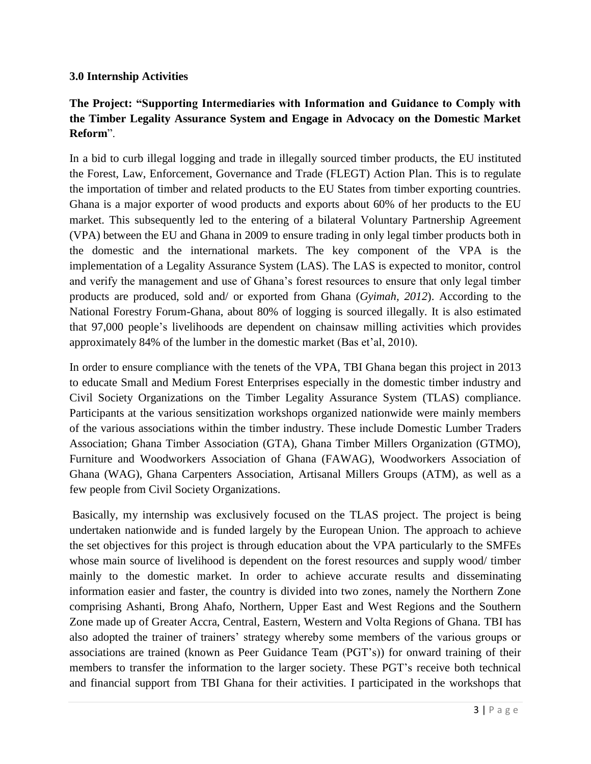### <span id="page-4-0"></span>**3.0 Internship Activities**

## **The Project: "Supporting Intermediaries with Information and Guidance to Comply with the Timber Legality Assurance System and Engage in Advocacy on the Domestic Market Reform**".

In a bid to curb illegal logging and trade in illegally sourced timber products, the EU instituted the Forest, Law, Enforcement, Governance and Trade (FLEGT) Action Plan. This is to regulate the importation of timber and related products to the EU States from timber exporting countries. Ghana is a major exporter of wood products and exports about 60% of her products to the EU market. This subsequently led to the entering of a bilateral Voluntary Partnership Agreement (VPA) between the EU and Ghana in 2009 to ensure trading in only legal timber products both in the domestic and the international markets. The key component of the VPA is the implementation of a Legality Assurance System (LAS). The LAS is expected to monitor, control and verify the management and use of Ghana's forest resources to ensure that only legal timber products are produced, sold and/ or exported from Ghana (*Gyimah, 2012*). According to the National Forestry Forum-Ghana, about 80% of logging is sourced illegally. It is also estimated that 97,000 people's livelihoods are dependent on chainsaw milling activities which provides approximately 84% of the lumber in the domestic market (Bas et'al, 2010).

In order to ensure compliance with the tenets of the VPA, TBI Ghana began this project in 2013 to educate Small and Medium Forest Enterprises especially in the domestic timber industry and Civil Society Organizations on the Timber Legality Assurance System (TLAS) compliance. Participants at the various sensitization workshops organized nationwide were mainly members of the various associations within the timber industry. These include Domestic Lumber Traders Association; Ghana Timber Association (GTA), Ghana Timber Millers Organization (GTMO), Furniture and Woodworkers Association of Ghana (FAWAG), Woodworkers Association of Ghana (WAG), Ghana Carpenters Association, Artisanal Millers Groups (ATM), as well as a few people from Civil Society Organizations.

Basically, my internship was exclusively focused on the TLAS project. The project is being undertaken nationwide and is funded largely by the European Union. The approach to achieve the set objectives for this project is through education about the VPA particularly to the SMFEs whose main source of livelihood is dependent on the forest resources and supply wood/ timber mainly to the domestic market. In order to achieve accurate results and disseminating information easier and faster, the country is divided into two zones, namely the Northern Zone comprising Ashanti, Brong Ahafo, Northern, Upper East and West Regions and the Southern Zone made up of Greater Accra, Central, Eastern, Western and Volta Regions of Ghana. TBI has also adopted the trainer of trainers' strategy whereby some members of the various groups or associations are trained (known as Peer Guidance Team (PGT's)) for onward training of their members to transfer the information to the larger society. These PGT's receive both technical and financial support from TBI Ghana for their activities. I participated in the workshops that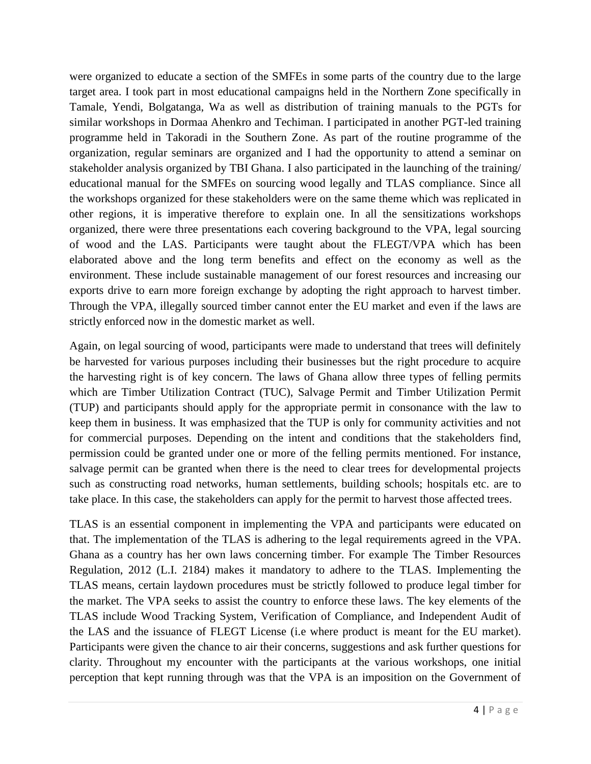were organized to educate a section of the SMFEs in some parts of the country due to the large target area. I took part in most educational campaigns held in the Northern Zone specifically in Tamale, Yendi, Bolgatanga, Wa as well as distribution of training manuals to the PGTs for similar workshops in Dormaa Ahenkro and Techiman. I participated in another PGT-led training programme held in Takoradi in the Southern Zone. As part of the routine programme of the organization, regular seminars are organized and I had the opportunity to attend a seminar on stakeholder analysis organized by TBI Ghana. I also participated in the launching of the training/ educational manual for the SMFEs on sourcing wood legally and TLAS compliance. Since all the workshops organized for these stakeholders were on the same theme which was replicated in other regions, it is imperative therefore to explain one. In all the sensitizations workshops organized, there were three presentations each covering background to the VPA, legal sourcing of wood and the LAS. Participants were taught about the FLEGT/VPA which has been elaborated above and the long term benefits and effect on the economy as well as the environment. These include sustainable management of our forest resources and increasing our exports drive to earn more foreign exchange by adopting the right approach to harvest timber. Through the VPA, illegally sourced timber cannot enter the EU market and even if the laws are strictly enforced now in the domestic market as well.

Again, on legal sourcing of wood, participants were made to understand that trees will definitely be harvested for various purposes including their businesses but the right procedure to acquire the harvesting right is of key concern. The laws of Ghana allow three types of felling permits which are Timber Utilization Contract (TUC), Salvage Permit and Timber Utilization Permit (TUP) and participants should apply for the appropriate permit in consonance with the law to keep them in business. It was emphasized that the TUP is only for community activities and not for commercial purposes. Depending on the intent and conditions that the stakeholders find, permission could be granted under one or more of the felling permits mentioned. For instance, salvage permit can be granted when there is the need to clear trees for developmental projects such as constructing road networks, human settlements, building schools; hospitals etc. are to take place. In this case, the stakeholders can apply for the permit to harvest those affected trees.

TLAS is an essential component in implementing the VPA and participants were educated on that. The implementation of the TLAS is adhering to the legal requirements agreed in the VPA. Ghana as a country has her own laws concerning timber. For example The Timber Resources Regulation, 2012 (L.I. 2184) makes it mandatory to adhere to the TLAS. Implementing the TLAS means, certain laydown procedures must be strictly followed to produce legal timber for the market. The VPA seeks to assist the country to enforce these laws. The key elements of the TLAS include Wood Tracking System, Verification of Compliance, and Independent Audit of the LAS and the issuance of FLEGT License (i.e where product is meant for the EU market). Participants were given the chance to air their concerns, suggestions and ask further questions for clarity. Throughout my encounter with the participants at the various workshops, one initial perception that kept running through was that the VPA is an imposition on the Government of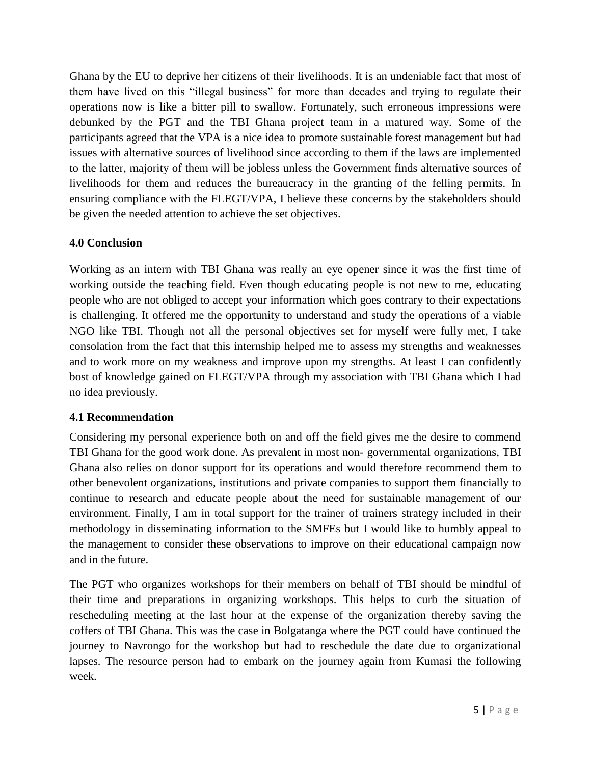Ghana by the EU to deprive her citizens of their livelihoods. It is an undeniable fact that most of them have lived on this "illegal business" for more than decades and trying to regulate their operations now is like a bitter pill to swallow. Fortunately, such erroneous impressions were debunked by the PGT and the TBI Ghana project team in a matured way. Some of the participants agreed that the VPA is a nice idea to promote sustainable forest management but had issues with alternative sources of livelihood since according to them if the laws are implemented to the latter, majority of them will be jobless unless the Government finds alternative sources of livelihoods for them and reduces the bureaucracy in the granting of the felling permits. In ensuring compliance with the FLEGT/VPA, I believe these concerns by the stakeholders should be given the needed attention to achieve the set objectives.

## <span id="page-6-0"></span>**4.0 Conclusion**

Working as an intern with TBI Ghana was really an eye opener since it was the first time of working outside the teaching field. Even though educating people is not new to me, educating people who are not obliged to accept your information which goes contrary to their expectations is challenging. It offered me the opportunity to understand and study the operations of a viable NGO like TBI. Though not all the personal objectives set for myself were fully met, I take consolation from the fact that this internship helped me to assess my strengths and weaknesses and to work more on my weakness and improve upon my strengths. At least I can confidently bost of knowledge gained on FLEGT/VPA through my association with TBI Ghana which I had no idea previously.

## <span id="page-6-1"></span>**4.1 Recommendation**

Considering my personal experience both on and off the field gives me the desire to commend TBI Ghana for the good work done. As prevalent in most non- governmental organizations, TBI Ghana also relies on donor support for its operations and would therefore recommend them to other benevolent organizations, institutions and private companies to support them financially to continue to research and educate people about the need for sustainable management of our environment. Finally, I am in total support for the trainer of trainers strategy included in their methodology in disseminating information to the SMFEs but I would like to humbly appeal to the management to consider these observations to improve on their educational campaign now and in the future.

The PGT who organizes workshops for their members on behalf of TBI should be mindful of their time and preparations in organizing workshops. This helps to curb the situation of rescheduling meeting at the last hour at the expense of the organization thereby saving the coffers of TBI Ghana. This was the case in Bolgatanga where the PGT could have continued the journey to Navrongo for the workshop but had to reschedule the date due to organizational lapses. The resource person had to embark on the journey again from Kumasi the following week.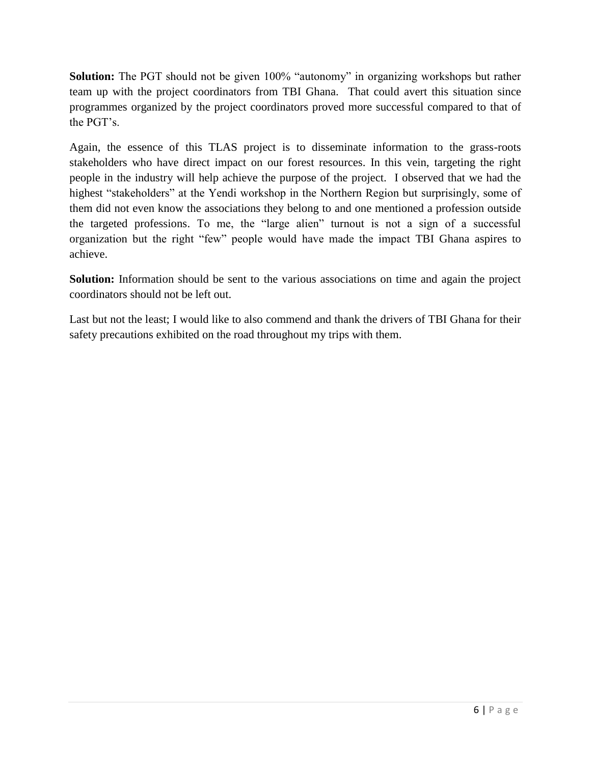**Solution:** The PGT should not be given 100% "autonomy" in organizing workshops but rather team up with the project coordinators from TBI Ghana. That could avert this situation since programmes organized by the project coordinators proved more successful compared to that of the PGT's.

Again, the essence of this TLAS project is to disseminate information to the grass-roots stakeholders who have direct impact on our forest resources. In this vein, targeting the right people in the industry will help achieve the purpose of the project. I observed that we had the highest "stakeholders" at the Yendi workshop in the Northern Region but surprisingly, some of them did not even know the associations they belong to and one mentioned a profession outside the targeted professions. To me, the "large alien" turnout is not a sign of a successful organization but the right "few" people would have made the impact TBI Ghana aspires to achieve.

**Solution:** Information should be sent to the various associations on time and again the project coordinators should not be left out.

<span id="page-7-0"></span>Last but not the least; I would like to also commend and thank the drivers of TBI Ghana for their safety precautions exhibited on the road throughout my trips with them.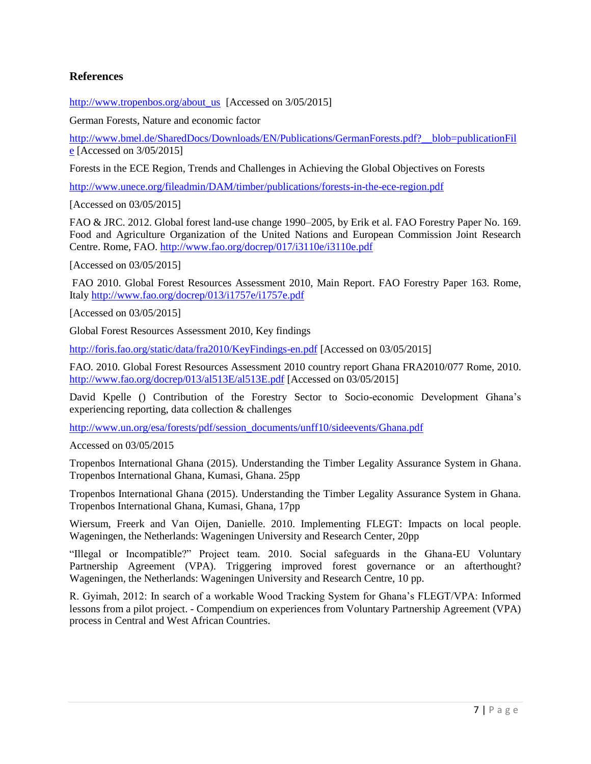### **References**

[http://www.tropenbos.org/about\\_us](http://www.tropenbos.org/about_us) [Accessed on 3/05/2015]

German Forests, Nature and economic factor

[http://www.bmel.de/SharedDocs/Downloads/EN/Publications/GermanForests.pdf?\\_\\_blob=publicationFil](http://www.bmel.de/SharedDocs/Downloads/EN/Publications/GermanForests.pdf?__blob=publicationFile) [e](http://www.bmel.de/SharedDocs/Downloads/EN/Publications/GermanForests.pdf?__blob=publicationFile) [Accessed on 3/05/2015]

Forests in the ECE Region, Trends and Challenges in Achieving the Global Objectives on Forests

<http://www.unece.org/fileadmin/DAM/timber/publications/forests-in-the-ece-region.pdf>

[Accessed on 03/05/2015]

FAO & JRC. 2012. Global forest land-use change 1990–2005, by Erik et al. FAO Forestry Paper No. 169. Food and Agriculture Organization of the United Nations and European Commission Joint Research Centre. Rome, FAO.<http://www.fao.org/docrep/017/i3110e/i3110e.pdf>

[Accessed on 03/05/2015]

FAO 2010. Global Forest Resources Assessment 2010, Main Report. FAO Forestry Paper 163. Rome, Italy <http://www.fao.org/docrep/013/i1757e/i1757e.pdf>

[Accessed on 03/05/2015]

Global Forest Resources Assessment 2010, Key findings

<http://foris.fao.org/static/data/fra2010/KeyFindings-en.pdf> [Accessed on 03/05/2015]

FAO. 2010. Global Forest Resources Assessment 2010 country report Ghana FRA2010/077 Rome, 2010. <http://www.fao.org/docrep/013/al513E/al513E.pdf> [Accessed on 03/05/2015]

David Kpelle () Contribution of the Forestry Sector to Socio-economic Development Ghana's experiencing reporting, data collection & challenges

[http://www.un.org/esa/forests/pdf/session\\_documents/unff10/sideevents/Ghana.pdf](http://www.un.org/esa/forests/pdf/session_documents/unff10/sideevents/Ghana.pdf)

Accessed on 03/05/2015

Tropenbos International Ghana (2015). Understanding the Timber Legality Assurance System in Ghana. Tropenbos International Ghana, Kumasi, Ghana. 25pp

Tropenbos International Ghana (2015). Understanding the Timber Legality Assurance System in Ghana. Tropenbos International Ghana, Kumasi, Ghana, 17pp

Wiersum, Freerk and Van Oijen, Danielle. 2010. Implementing FLEGT: Impacts on local people. Wageningen, the Netherlands: Wageningen University and Research Center, 20pp

"Illegal or Incompatible?" Project team. 2010. Social safeguards in the Ghana-EU Voluntary Partnership Agreement (VPA). Triggering improved forest governance or an afterthought? Wageningen, the Netherlands: Wageningen University and Research Centre, 10 pp.

R. Gyimah, 2012: In search of a workable Wood Tracking System for Ghana's FLEGT/VPA: Informed lessons from a pilot project. - Compendium on experiences from Voluntary Partnership Agreement (VPA) process in Central and West African Countries.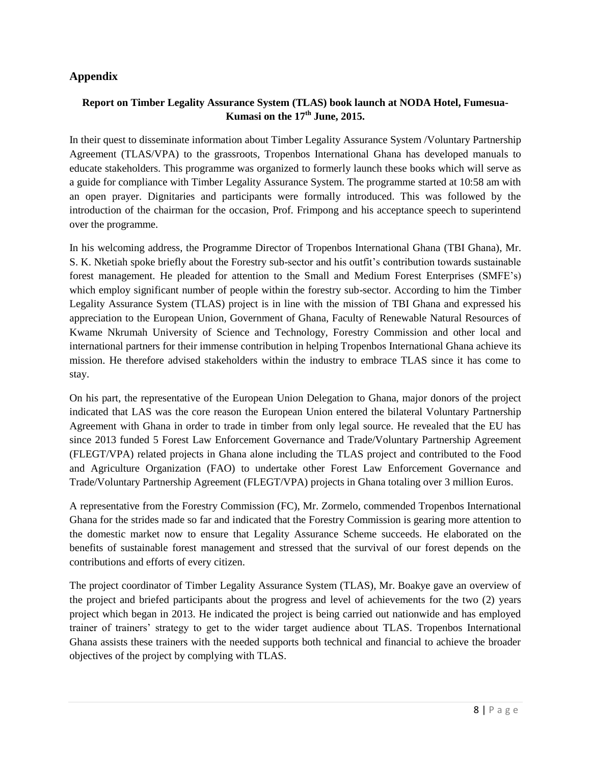### <span id="page-9-0"></span>**Appendix**

#### **Report on Timber Legality Assurance System (TLAS) book launch at NODA Hotel, Fumesua-Kumasi on the 17th June, 2015.**

In their quest to disseminate information about Timber Legality Assurance System /Voluntary Partnership Agreement (TLAS/VPA) to the grassroots, Tropenbos International Ghana has developed manuals to educate stakeholders. This programme was organized to formerly launch these books which will serve as a guide for compliance with Timber Legality Assurance System. The programme started at 10:58 am with an open prayer. Dignitaries and participants were formally introduced. This was followed by the introduction of the chairman for the occasion, Prof. Frimpong and his acceptance speech to superintend over the programme.

In his welcoming address, the Programme Director of Tropenbos International Ghana (TBI Ghana), Mr. S. K. Nketiah spoke briefly about the Forestry sub-sector and his outfit's contribution towards sustainable forest management. He pleaded for attention to the Small and Medium Forest Enterprises (SMFE's) which employ significant number of people within the forestry sub-sector. According to him the Timber Legality Assurance System (TLAS) project is in line with the mission of TBI Ghana and expressed his appreciation to the European Union, Government of Ghana, Faculty of Renewable Natural Resources of Kwame Nkrumah University of Science and Technology, Forestry Commission and other local and international partners for their immense contribution in helping Tropenbos International Ghana achieve its mission. He therefore advised stakeholders within the industry to embrace TLAS since it has come to stay.

On his part, the representative of the European Union Delegation to Ghana, major donors of the project indicated that LAS was the core reason the European Union entered the bilateral Voluntary Partnership Agreement with Ghana in order to trade in timber from only legal source. He revealed that the EU has since 2013 funded 5 Forest Law Enforcement Governance and Trade/Voluntary Partnership Agreement (FLEGT/VPA) related projects in Ghana alone including the TLAS project and contributed to the Food and Agriculture Organization (FAO) to undertake other Forest Law Enforcement Governance and Trade/Voluntary Partnership Agreement (FLEGT/VPA) projects in Ghana totaling over 3 million Euros.

A representative from the Forestry Commission (FC), Mr. Zormelo, commended Tropenbos International Ghana for the strides made so far and indicated that the Forestry Commission is gearing more attention to the domestic market now to ensure that Legality Assurance Scheme succeeds. He elaborated on the benefits of sustainable forest management and stressed that the survival of our forest depends on the contributions and efforts of every citizen.

The project coordinator of Timber Legality Assurance System (TLAS), Mr. Boakye gave an overview of the project and briefed participants about the progress and level of achievements for the two (2) years project which began in 2013. He indicated the project is being carried out nationwide and has employed trainer of trainers' strategy to get to the wider target audience about TLAS. Tropenbos International Ghana assists these trainers with the needed supports both technical and financial to achieve the broader objectives of the project by complying with TLAS.